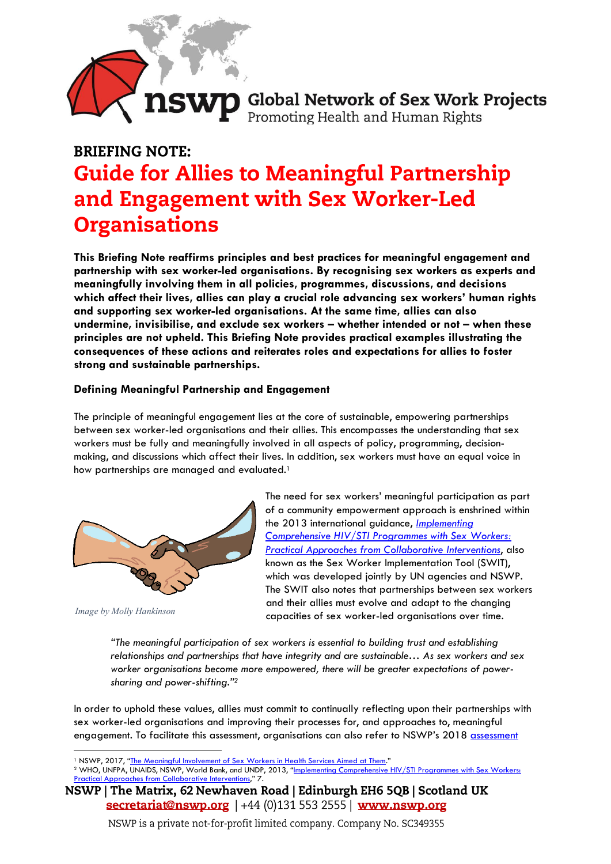# **NSWP** Global Network of Sex Work Projects

# **BRIEFING NOTE: Guide for Allies to Meaningful Partnership** and Engagement with Sex Worker-Led **Organisations**

**This Briefing Note reaffirms principles and best practices for meaningful engagement and partnership with sex worker-led organisations. By recognising sex workers as experts and meaningfully involving them in all policies, programmes, discussions, and decisions which affect their lives, allies can play a crucial role advancing sex workers' human rights and supporting sex worker-led organisations. At the same time, allies can also undermine, invisibilise, and exclude sex workers – whether intended or not – when these principles are not upheld. This Briefing Note provides practical examples illustrating the consequences of these actions and reiterates roles and expectations for allies to foster strong and sustainable partnerships.** 

# **Defining Meaningful Partnership and Engagement**

The principle of meaningful engagement lies at the core of sustainable, empowering partnerships between sex worker-led organisations and their allies. This encompasses the understanding that sex workers must be fully and meaningfully involved in all aspects of policy, programming, decisionmaking, and discussions which affect their lives. In addition, sex workers must have an equal voice in how partnerships are managed and evaluated.<sup>1</sup>



*Image by Molly Hankinson*

The need for sex workers' meaningful participation as part of a community empowerment approach is enshrined within the 2013 international guidance, *[Implementing](https://apps.who.int/iris/handle/10665/90000)  [Comprehensive HIV/STI Programmes with Sex Workers:](https://apps.who.int/iris/handle/10665/90000) [Practical Approaches from Collaborative Interventions](https://apps.who.int/iris/handle/10665/90000)*, also known as the Sex Worker Implementation Tool (SWIT), which was developed jointly by UN agencies and NSWP. The SWIT also notes that partnerships between sex workers and their allies must evolve and adapt to the changing capacities of sex worker-led organisations over time.

*"The meaningful participation of sex workers is essential to building trust and establishing relationships and partnerships that have integrity and are sustainable… As sex workers and sex worker organisations become more empowered, there will be greater expectations of powersharing and power-shifting."<sup>2</sup>*

In order to uphold these values, allies must commit to continually reflecting upon their partnerships with sex worker-led organisations and improving their processes for, and approaches to, meaningful engagement. To facilitate this assessment, organisations can also refer to NSWP's 2018 assessment

<sup>1</sup> NSWP, 2017, "<u>[The Meaningful Involvement of Sex Workers in Health Services Aimed at Them](https://nswp.org/resource/nswp-briefing-papers/briefing-paper-the-meaningful-involvement-sex-workers-the-development)."</u>

<sup>2</sup> WHO, UNFPA, UNAIDS, NSWP, World Bank, and UNDP, 2013, "Implementing Comprehensive HIV/STI Programmes with Sex Workers: m Collaborative Interventions," 7.

NSWP | The Matrix, 62 Newhaven Road | Edinburgh EH6 5QB | Scotland UK  $\frac{\text{secretariat@nswp.org}{\text{secretariat@nswp.org}} + 44(0)1315532555 \text{ | }$  www.nswp.org

NSWP is a private not-for-profit limited company. Company No. SC349355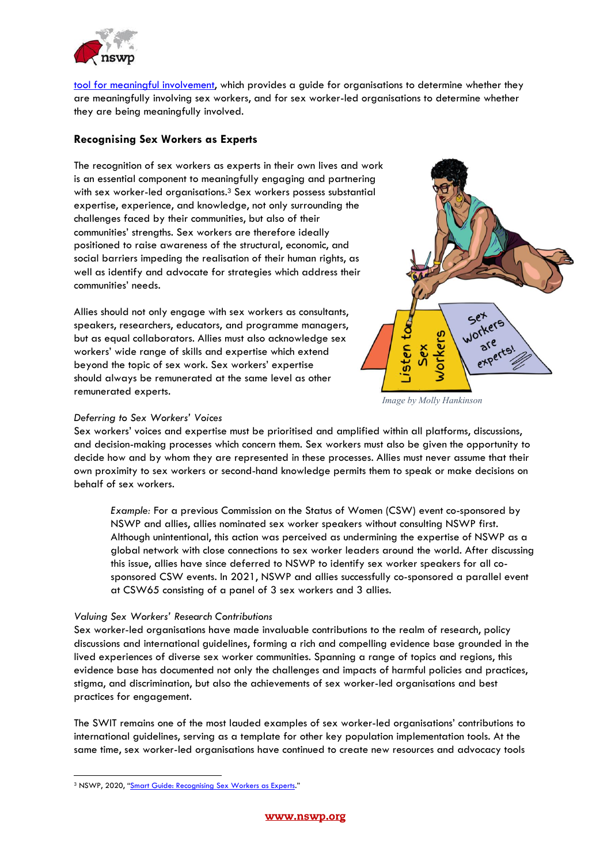

tool [for meaningful involvement,](https://nswp.org/resource/nswp-briefing-notes/meaningful-involvement-sex-workers) which provides a guide for organisations to determine whether they are meaningfully involving sex workers, and for sex worker-led organisations to determine whether they are being meaningfully involved.

## **Recognising Sex Workers as Experts**

The recognition of sex workers as experts in their own lives and work is an essential component to meaningfully engaging and partnering with sex worker-led organisations. <sup>3</sup> Sex workers possess substantial expertise, experience, and knowledge, not only surrounding the challenges faced by their communities, but also of their communities' strengths. Sex workers are therefore ideally positioned to raise awareness of the structural, economic, and social barriers impeding the realisation of their human rights, as well as identify and advocate for strategies which address their communities' needs.

Allies should not only engage with sex workers as consultants, speakers, researchers, educators, and programme managers, but as equal collaborators. Allies must also acknowledge sex workers' wide range of skills and expertise which extend beyond the topic of sex work. Sex workers' expertise should always be remunerated at the same level as other remunerated experts.



*Image by Molly Hankinson*

#### *Deferring to Sex Workers' Voices*

Sex workers' voices and expertise must be prioritised and amplified within all platforms, discussions, and decision-making processes which concern them. Sex workers must also be given the opportunity to decide how and by whom they are represented in these processes. Allies must never assume that their own proximity to sex workers or second-hand knowledge permits them to speak or make decisions on behalf of sex workers.

*Example:* For a previous Commission on the Status of Women (CSW) event co-sponsored by NSWP and allies, allies nominated sex worker speakers without consulting NSWP first. Although unintentional, this action was perceived as undermining the expertise of NSWP as a global network with close connections to sex worker leaders around the world. After discussing this issue, allies have since deferred to NSWP to identify sex worker speakers for all cosponsored CSW events. In 2021, NSWP and allies successfully co-sponsored a parallel event at CSW65 consisting of a panel of 3 sex workers and 3 allies.

#### *Valuing Sex Workers' Research Contributions*

Sex worker-led organisations have made invaluable contributions to the realm of research, policy discussions and international guidelines, forming a rich and compelling evidence base grounded in the lived experiences of diverse sex worker communities. Spanning a range of topics and regions, this evidence base has documented not only the challenges and impacts of harmful policies and practices, stigma, and discrimination, but also the achievements of sex worker-led organisations and best practices for engagement.

The SWIT remains one of the most lauded examples of sex worker-led organisations' contributions to international guidelines, serving as a template for other key population implementation tools. At the same time, sex worker-led organisations have continued to create new resources and advocacy tools

<sup>&</sup>lt;sup>3</sup> NSWP, 2020, "[Smart Guide: Recognising Sex Workers as Experts](https://www.nswp.org/resource/nswp-smart-guides/smart-guide-recognising-sex-workers-experts)."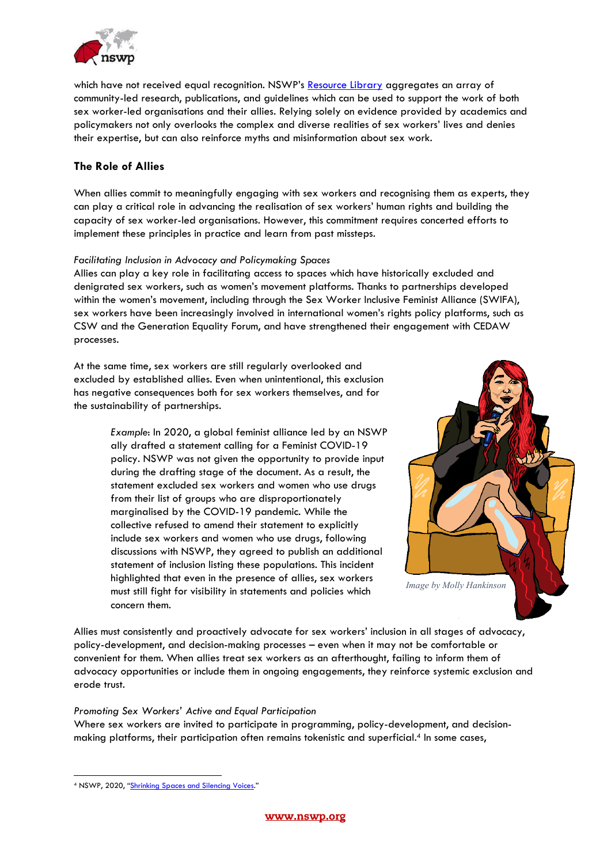

which have not received equal recognition. NSWP's [Resource Library](https://nswp.org/resources) aggregates an array of community-led research, publications, and guidelines which can be used to support the work of both sex worker-led organisations and their allies. Relying solely on evidence provided by academics and policymakers not only overlooks the complex and diverse realities of sex workers' lives and denies their expertise, but can also reinforce myths and misinformation about sex work.

# **The Role of Allies**

When allies commit to meaningfully engaging with sex workers and recognising them as experts, they can play a critical role in advancing the realisation of sex workers' human rights and building the capacity of sex worker-led organisations. However, this commitment requires concerted efforts to implement these principles in practice and learn from past missteps.

#### *Facilitating Inclusion in Advocacy and Policymaking Spaces*

Allies can play a key role in facilitating access to spaces which have historically excluded and denigrated sex workers, such as women's movement platforms. Thanks to partnerships developed within the women's movement, including through the Sex Worker Inclusive Feminist Alliance (SWIFA), sex workers have been increasingly involved in international women's rights policy platforms, such as CSW and the Generation Equality Forum, and have strengthened their engagement with CEDAW processes.

At the same time, sex workers are still regularly overlooked and excluded by established allies. Even when unintentional, this exclusion has negative consequences both for sex workers themselves, and for the sustainability of partnerships.

> *Example*: In 2020, a global feminist alliance led by an NSWP ally drafted a statement calling for a Feminist COVID-19 policy. NSWP was not given the opportunity to provide input during the drafting stage of the document. As a result, the statement excluded sex workers and women who use drugs from their list of groups who are disproportionately marginalised by the COVID-19 pandemic. While the collective refused to amend their statement to explicitly include sex workers and women who use drugs, following discussions with NSWP, they agreed to publish an additional statement of inclusion listing these populations. This incident highlighted that even in the presence of allies, sex workers must still fight for visibility in statements and policies which concern them.



Allies must consistently and proactively advocate for sex workers' inclusion in all stages of advocacy, policy-development, and decision-making processes – even when it may not be comfortable or convenient for them. When allies treat sex workers as an afterthought, failing to inform them of advocacy opportunities or include them in ongoing engagements, they reinforce systemic exclusion and erode trust.

#### *Promoting Sex Workers' Active and Equal Participation*

Where sex workers are invited to participate in programming, policy-development, and decisionmaking platforms, their participation often remains tokenistic and superficial. <sup>4</sup> In some cases,

<sup>4</sup> NSWP, 2020, "[Shrinking Spaces and Silencing Voices](https://www.nswp.org/resource/nswp-briefing-papers/briefing-paper-shrinking-spaces-and-silencing-voices)."